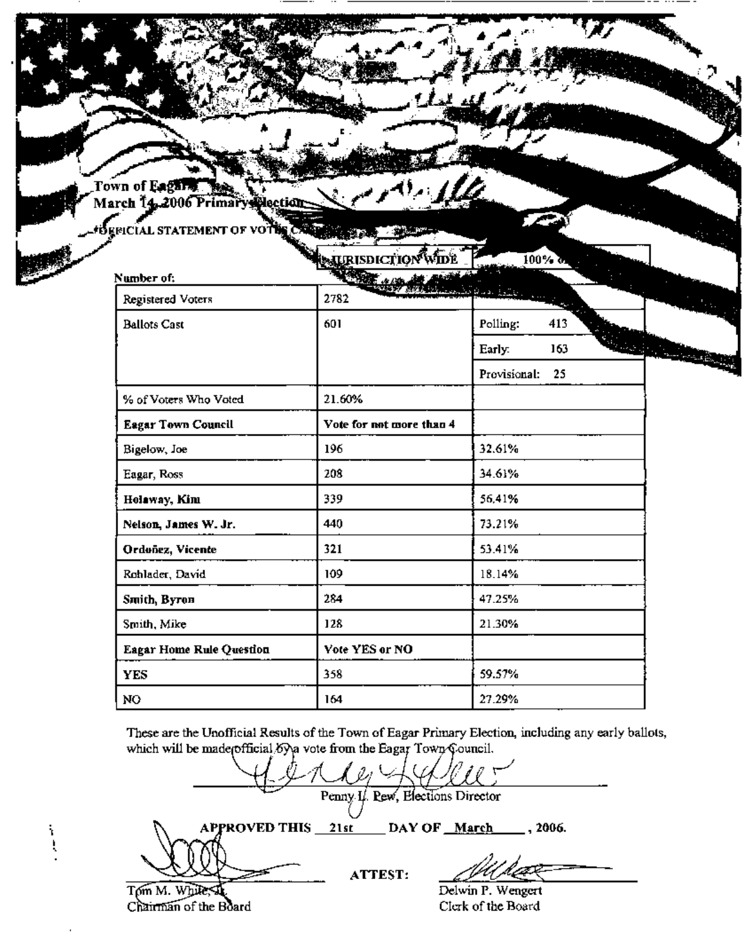Town of Eaghter and Children

O GENCIAL STATEMENT OF VOT

|                                 | <b>NURISDICTION WIDE</b> | $100 \times 3$                  |                                |
|---------------------------------|--------------------------|---------------------------------|--------------------------------|
| Number of:                      |                          |                                 |                                |
| Registered Voters               | 2782                     | an Garant Children and Children |                                |
| <b>Ballots Cast</b>             | 601                      | 413<br>Polling:                 |                                |
|                                 |                          | 163<br>Early:                   | <b>DESCRIPTION OF PROPERTY</b> |
|                                 |                          | Provisional:<br>25              |                                |
| % of Voters Who Voted           | 21.60%                   |                                 |                                |
| <b>Eagar Town Council</b>       | Vote for not more than 4 |                                 |                                |
| Bigelow, Joe                    | 196                      | 32.61%                          |                                |
| Eagar, Ross                     | 208                      | 34.61%                          |                                |
| Holaway, Kim                    | 339                      | 56,41%                          |                                |
| Nelson, James W. Jr.            | 440                      | 73.21%                          |                                |
| Ordonez, Vicente                | 321                      | 53.41%                          |                                |
| Rohlader, David                 | 109                      | 18.14%                          |                                |
| Smith, Byron                    | 284                      | 47.25%                          |                                |
| Smith, Mike                     | 128                      | 21.30%                          |                                |
| <b>Eagar Home Rule Question</b> | Vote YES or NO           |                                 |                                |
| <b>YES</b>                      | 358                      | 59.57%                          |                                |
| NO                              | 164                      | 27.29%                          |                                |

These are the Unofficial Results of the Town of Eagar Primary Election, including any early ballots, which will be made official by a vote from the Eagar Town Council.

Penny I. Pew, Elections Director DAY OF March **APPROVED THIS** 21st , 2006. ATTEST: Delwin P. Wengert Tom M. While,

Chairman of the Board

 $\frac{1}{3}$ 

Clerk of the Board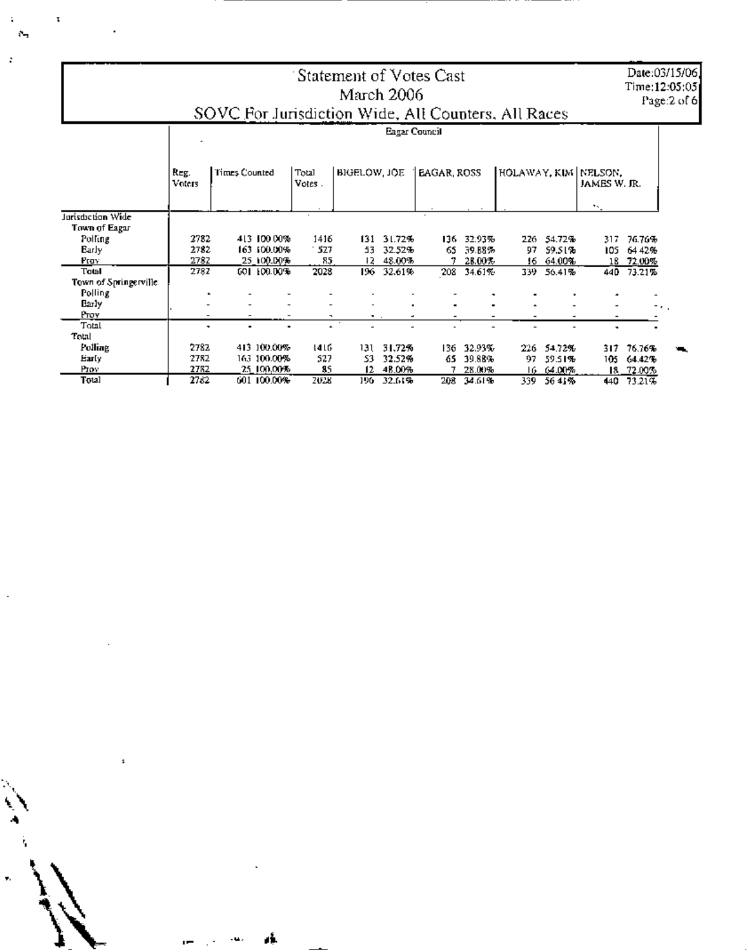Date:03/15/06,<br>Time:12:05:05<br>Page:2 of 6

## 'Statement of Votes Cast March 2006 SOVC For Jurisdiction Wide, All Counters, All Races

|                       | Eagar Council  |                                  |             |                      |               |                |      |                      |                     |              |      |                |
|-----------------------|----------------|----------------------------------|-------------|----------------------|---------------|----------------|------|----------------------|---------------------|--------------|------|----------------|
|                       | Reg.<br>Voters | Times Counted<br>Total<br>Votes. |             | BIGELOW, JOE         |               | EAGAR, ROSS    |      | HOLAWAY, KIM NELSON, |                     | JAMES W. JR. |      |                |
| Jurisdiction Wide     |                |                                  |             |                      |               |                |      |                      |                     |              | 75.  |                |
| Town of Eagar         |                |                                  |             |                      |               |                |      |                      |                     |              |      |                |
| Polling               | 2782           |                                  | 413 100 00% | 1416                 | 131           | 31.72%         | 136. | 32.93%               | 226.                | 54.72%       | 317  | 76.76%         |
| Early                 | 2782           |                                  | 163 100.00% | 527                  | 53            | 32.52%         | 65   | 39.88%               | 97                  | 59.51%       | 105  | 6442%          |
| Prov                  | 2782           |                                  | 25 100.00%  | 85                   | 12.           | 48.00%         |      | 28.00%               | 16.                 | 64.00%       | 18.  | 72.00%         |
| Total                 | 2782           |                                  | 001100.00%  | 2028                 | 196.          | 32.61%         | 208  | 34.61%               | 339.                | 56.41%       | 440. | 73.21%         |
| Town of Springerville |                |                                  |             |                      |               |                |      |                      |                     |              |      |                |
| Polling               |                |                                  |             |                      |               |                |      |                      |                     |              |      |                |
| Barly                 |                |                                  |             |                      | ٠             | $\blacksquare$ |      | ٠                    | $\hat{\phantom{a}}$ |              |      | The go         |
| Ртоу                  |                |                                  |             | ۰.                   | $\sim$ $\sim$ |                |      |                      |                     |              |      |                |
| Total                 | ۰              | ۰                                |             | $\ddot{\phantom{1}}$ |               |                |      |                      |                     |              |      |                |
| Total                 |                |                                  |             |                      |               |                |      |                      |                     |              |      |                |
| Folling               | 2782           |                                  | 413 100.00% | 416                  | 131           | 31.72%         | 136. | 32.93%               | 226.                | 54.72%       | 317  | 76.76%         |
| Early                 | 2782           |                                  | 163-100.00% | 527                  | 53.           | 32.52%         | 65   | 39.88%               | 97.                 | 59.51%       | 105  | 64.42%         |
| Prov                  | 2782           |                                  | 25.100.00%  | 85                   | 12            | 48.00%         |      | 28.00%               |                     | 16 64.00%    |      | $18 - 72.00\%$ |
| Total                 | 2782           |                                  | 601 100.00% | 2028                 | 196.          | 32.61%         | 208  | 34.61%               | 339.                | 5641%        | 440  | 73.21%         |

 $\mathcal{D}_{\text{eq}}$ 

 $\mathbf{t}$ 

 $\ddot{\phantom{a}}$ 

 $\ddot{\phantom{a}}$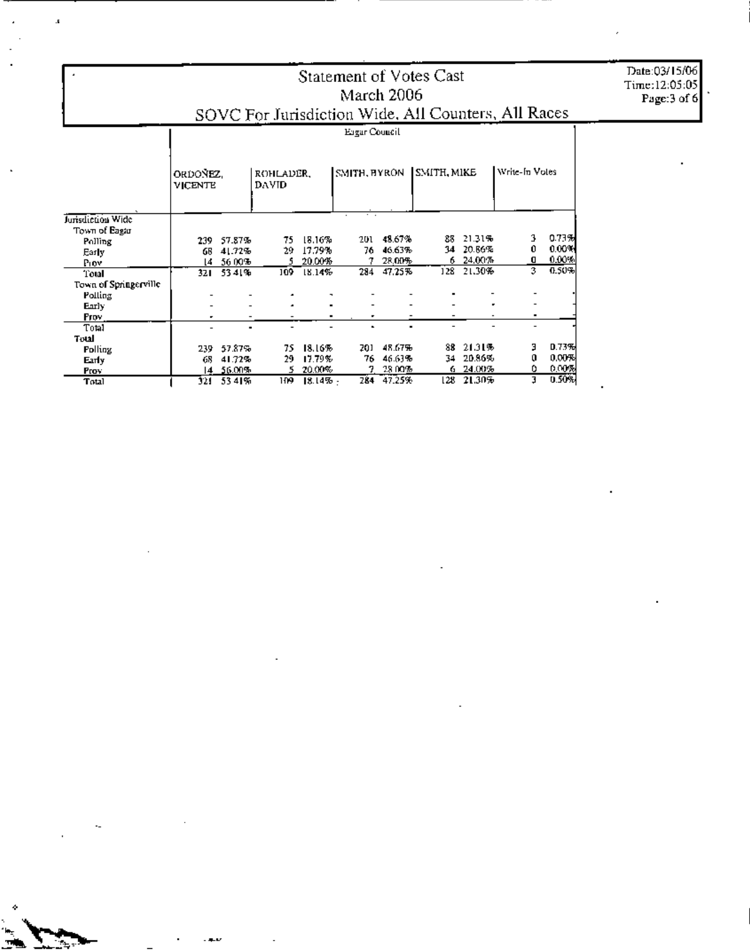## Statement of Votes Cast March 2006 SOVC For Jurisdiction Wide, All Counters, All Races

|                       | Ergar Council              |      |                           |     |              |     |             |      |                |   |       |  |
|-----------------------|----------------------------|------|---------------------------|-----|--------------|-----|-------------|------|----------------|---|-------|--|
|                       | ORDONEZ,<br><b>VICENTE</b> |      | ROHLADER,<br><b>DAVID</b> |     | SMITH, BYRON |     | SMITH, MIKE |      | Write-In Votes |   |       |  |
| Jurisdiction Wide     |                            |      |                           |     |              |     |             |      |                |   |       |  |
| Town of Eagur         |                            |      |                           |     |              |     |             |      |                |   |       |  |
| Polling               |                            | 239  | 57.87%                    | 75  | 18.16%       | 201 | 48.67%      | 88   | 21.31%         | 3 | 0.73% |  |
| Early.                |                            | GB   | 41.72%                    | 29. | 17.79%       | 76  | 46.63%      | 34   | 20.86%         | 0 | 0.00% |  |
| Piov                  |                            | 14   | 56.00%                    |     | 20.00%       |     | 28.00%      | 6    | 24.00%         | o | 0.00% |  |
| Total                 |                            | 321  | 5341%                     | 109 | 18.14%       | 284 | 47.25%      | 128  | 21.30%         | 3 | 0.50% |  |
| Town of Springerville |                            |      |                           |     |              |     |             |      |                |   |       |  |
| Polling               |                            |      |                           |     |              |     |             |      |                |   |       |  |
| Early                 |                            |      |                           |     |              |     |             |      |                |   |       |  |
| Prov.                 |                            |      |                           |     |              |     |             |      |                | ۰ |       |  |
| Total                 |                            |      |                           |     |              |     |             |      |                |   |       |  |
| Total                 |                            |      |                           |     |              |     |             |      |                |   |       |  |
| <b>Polling</b>        |                            | 239. | 57.87%                    | 75  | 18.16%       | 201 | 48.67%      | 88   | 21.31%         | э | 0.73% |  |
| Early                 |                            | 68   | 41.72%                    | 29. | 17.79%       | 76  | 46.63%      | 34   | 20.86%         | 0 | 0.00% |  |
| Prov                  |                            | 14.  | 56.00%                    | 5.  | 20.00%       | 7   | 28.00%      | 6.   | 24.00%         | ٥ | 0.00% |  |
| Total                 |                            | 321  | 5341%                     | 109 | 18.14% -     | 284 | 47.25%      | l 28 | 21.30%         | з | 0.50% |  |

 $\mathbf{r}$ 

Date:03/15/06 Time:12:05:05<br>Page:3 of 6